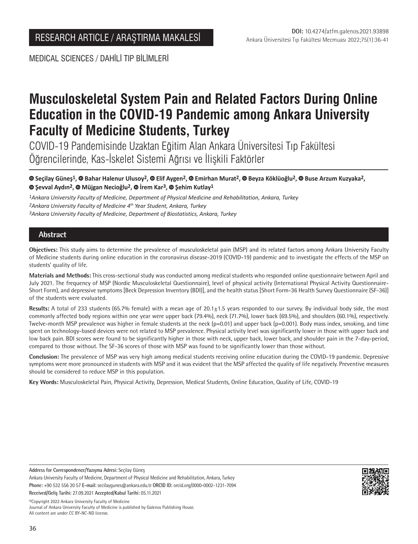MEDICAL SCIENCES / DAHİLİ TIP BİLİMLERİ

# **Musculoskeletal System Pain and Related Factors During Online Education in the COVID-19 Pandemic among Ankara University Faculty of Medicine Students, Turkey**

COVID-19 Pandemisinde Uzaktan Eğitim Alan Ankara Üniversitesi Tıp Fakültesi Öğrencilerinde, Kas-İskelet Sistemi Ağrısı ve İlişkili Faktörler

**Seçilay Güneş1, Bahar Halenur Ulusoy2, Elif Aygen2,Emirhan Murat2,Beyza Köklüoğlu2, Buse Arzum Kuzyaka2, Şevval Aydın2,Müjgan Necioğlu2,İrem Kar3,Şehim Kutlay1**

*1Ankara University Faculty of Medicine, Department of Physical Medicine and Rehabilitation, Ankara, Turkey 2Ankara University Faculty of Medicine 4th Year Student, Ankara, Turkey 3Ankara University Faculty of Medicine, Department of Biostatistics, Ankara, Turkey*

## **Abstract**

**Objectives:** This study aims to determine the prevalence of musculoskeletal pain (MSP) and its related factors among Ankara University Faculty of Medicine students during online education in the coronavirus disease-2019 (COVID-19) pandemic and to investigate the effects of the MSP on students' quality of life.

**Materials and Methods:** This cross-sectional study was conducted among medical students who responded online questionnaire between April and July 2021. The frequency of MSP (Nordic Musculoskeletal Questionnaire), level of physical activity (International Physical Activity Questionnaire-Short Form), and depressive symptoms [Beck Depression Inventory (BDI)], and the health status [Short Form-36 Health Survey Questionnaire (SF-36)] of the students were evaluated.

Results: A total of 233 students (65.7% female) with a mean age of 20.1±1.5 years responded to our survey. By individual body side, the most commonly affected body regions within one year were upper back (79.4%), neck (71.7%), lower back (69.5%), and shoulders (60.1%), respectively. Twelve-month MSP prevalence was higher in female students at the neck (p=0.01) and upper back (p=0.001). Body mass index, smoking, and time spent on technology-based devices were not related to MSP prevalence. Physical activity level was significantly lower in those with upper back and low back pain. BDI scores were found to be significantly higher in those with neck, upper back, lower back, and shoulder pain in the 7-day-period, compared to those without. The SF-36 scores of those with MSP was found to be significantly lower than those without.

**Conclusion:** The prevalence of MSP was very high among medical students receiving online education during the COVID-19 pandemic. Depressive symptoms were more pronounced in students with MSP and it was evident that the MSP affected the quality of life negatively. Preventive measures should be considered to reduce MSP in this population.

**Key Words:** Musculoskeletal Pain, Physical Activity, Depression, Medical Students, Online Education, Quality of Life, COVID-19

**Address for Correspondence/Yazışma Adresi:** Seçilay Güneş

Ankara University Faculty of Medicine, Department of Physical Medicine and Rehabilitation, Ankara, Turkey **Phone:** +90 532 556 20 57 **E-mail:** secilaygunes@ankara.edu.tr **ORCID ID:** orcid.org/0000-0002-1231-7094 **Received/Geliş Tarihi:** 27.09.2021 **Accepted/Kabul Tarihi:** 05.11.2021

©️Copyright 2022 Ankara University Faculty of Medicine

Journal of Ankara University Faculty of Medicine is published by Galenos Publishing House. All content are under CC BY-NC-ND license.

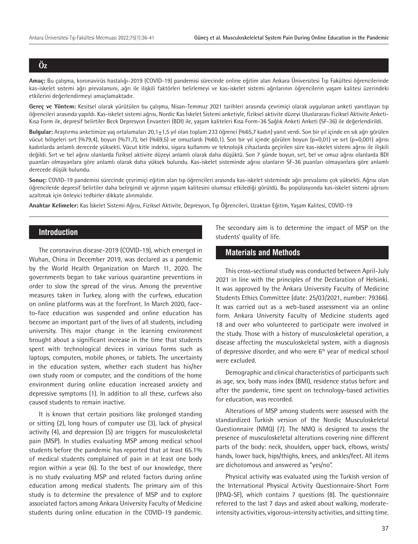## **Öz**

**Amaç:** Bu çalışma, koronavirüs hastalığı-2019 (COVID-19) pandemisi sürecinde online eğitim alan Ankara Üniversitesi Tıp Fakültesi öğrencilerinde kas-iskelet sistemi ağrı prevalansını, ağrı ile ilişkili faktörleri belirlemeyi ve kas-iskelet sistemi ağrılarının öğrencilerin yaşam kalitesi üzerindeki etkilerini değerlendirmeyi amaçlamaktadır.

**Gereç ve Yöntem:** Kesitsel olarak yürütülen bu çalışma, Nisan-Temmuz 2021 tarihleri arasında çevrimiçi olarak uygulanan anketi yanıtlayan tıp öğrencileri arasında yapıldı. Kas-iskelet sistemi ağrısı, Nordic Kas İskelet Sistemi anketiyle, fiziksel aktivite düzeyi Uluslararası Fiziksel Aktivite Anketi-Kısa Form ile, depresif belirtiler Beck Depresyon Envanteri (BDI) ile, yaşam kaliteleri Kısa Form-36 Sağlık Anketi Anketi (SF-36) ile değerlendirildi.

**Bulgular:** Araştırma anketimize yaş ortalamaları 20,1±1,5 yıl olan toplam 233 öğrenci (%65,7 kadın) yanıt verdi. Son bir yıl içinde en sık ağrı görülen vücut bölgeleri sırt (%79,4), boyun (%71,7), bel (%69,5) ve omuzlardı (%60,1). Son bir yıl içinde görülen boyun (p=0,01) ve sırt (p=0,001) ağrısı kadınlarda anlamlı derecede yüksekti. Vücut kitle indeksi, sigara kullanımı ve teknolojik cihazlarda geçirilen süre kas-iskelet sistemi ağrısı ile ilişkili değildi. Sırt ve bel ağrısı olanlarda fiziksel aktivite düzeyi anlamlı olarak daha düşüktü. Son 7 günde boyun, sırt, bel ve omuz ağrısı olanlarda BDI puanları olmayanlara göre anlamlı olarak daha yüksek bulundu. Kas-iskelet sisteminde ağrısı olanların SF-36 puanları olmayanlara göre anlamlı derecede düşük bulundu.

**Sonuç:** COVID-19 pandemisi sürecinde çevrimiçi eğitim alan tıp öğrencileri arasında kas-iskelet sisteminde ağrı prevalansı çok yüksekti. Ağrısı olan öğrencilerde depresif belirtiler daha belirgindi ve ağrının yaşam kalitesini olumsuz etkilediği görüldü. Bu popülasyonda kas-iskelet sistemi ağrısını azaltmak için önleyici tedbirler dikkate alınmalıdır.

**Anahtar Kelimeler:** Kas İskelet Sistemi Ağrısı, Fiziksel Aktivite, Depresyon, Tıp Öğrencileri, Uzaktan Eğitim, Yaşam Kalitesi, COVID-19

## **Introduction**

The coronavirus disease-2019 (COVID-19), which emerged in Wuhan, China in December 2019, was declared as a pandemic by the World Health Organization on March 11, 2020. The governments began to take various quarantine preventions in order to slow the spread of the virus. Among the preventive measures taken in Turkey, along with the curfews, education on online platforms was at the forefront. In March 2020, faceto-face education was suspended and online education has become an important part of the lives of all students, including university. This major change in the learning environment brought about a significant increase in the time that students spent with technological devices in various forms such as laptops, computers, mobile phones, or tablets. The uncertainty in the education system, whether each student has his/her own study room or computer, and the conditions of the home environment during online education increased anxiety and depressive symptoms (1). In addition to all these, curfews also caused students to remain inactive.

It is known that certain positions like prolonged standing or sitting (2), long hours of computer use (3), lack of physical activity (4), and depression (5) are triggers for musculoskeletal pain (MSP). In studies evaluating MSP among medical school students before the pandemic has reported that at least 65.1% of medical students complained of pain in at least one body region within a year (6). To the best of our knowledge, there is no study evaluating MSP and related factors during online education among medical students. The primary aim of this study is to determine the prevalence of MSP and to explore associated factors among Ankara University Faculty of Medicine students during online education in the COVID-19 pandemic.

The secondary aim is to determine the impact of MSP on the students' quality of life.

### **Materials and Methods**

This cross-sectional study was conducted between April-July 2021 in line with the principles of the Declaration of Helsinki. It was approved by the Ankara University Faculty of Medicine Students Ethics Committee (date: 25/03/2021, number: 79366). It was carried out as a web-based assessment via an online form. Ankara University Faculty of Medicine students aged 18 and over who volunteered to participate were involved in the study. Those with a history of musculoskeletal operation, a disease affecting the musculoskeletal system, with a diagnosis of depressive disorder, and who were 6<sup>th</sup> year of medical school were excluded.

Demographic and clinical characteristics of participants such as age, sex, body mass index (BMI), residence status before and after the pandemic, time spent on technology-based activities for education, was recorded.

Alterations of MSP among students were assessed with the standardized Turkish version of the Nordic Musculoskeletal Questionnaire (NMQ) (7). The NMQ is designed to assess the presence of musculoskeletal alterations covering nine different parts of the body: neck, shoulders, upper back, elbows, wrists/ hands, lower back, hips/thighs, knees, and ankles/feet. All items are dichotomous and answered as "yes/no".

Physical activity was evaluated using the Turkish version of the International Physical Activity Questionnaire-Short Form (IPAQ-SF), which contains 7 questions (8). The questionnaire referred to the last 7 days and asked about walking, moderateintensity activities, vigorous-intensity activities, and sitting time.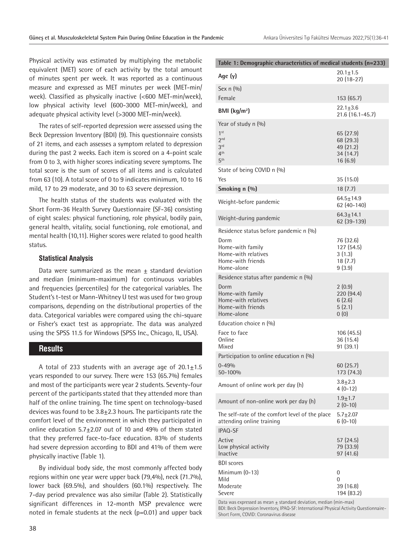Physical activity was estimated by multiplying the metabolic equivalent (MET) score of each activity by the total amount of minutes spent per week. It was reported as a continuous measure and expressed as MET minutes per week (MET-min/ week). Classified as physically inactive (<600 MET-min/week), low physical activity level (600-3000 MET-min/week), and adequate physical activity level (>3000 MET-min/week).

The rates of self-reported depression were assessed using the Beck Depression Inventory (BDI) (9). This questionnaire consists of 21 items, and each assesses a symptom related to depression during the past 2 weeks. Each item is scored on a 4-point scale from 0 to 3, with higher scores indicating severe symptoms. The total score is the sum of scores of all items and is calculated from 63 (10). A total score of 0 to 9 indicates minimum, 10 to 16 mild, 17 to 29 moderate, and 30 to 63 severe depression.

The health status of the students was evaluated with the Short Form-36 Health Survey Questionnaire (SF-36) consisting of eight scales: physical functioning, role physical, bodily pain, general health, vitality, social functioning, role emotional, and mental health (10,11). Higher scores were related to good health status.

#### **Statistical Analysis**

Data were summarized as the mean  $+$  standard deviation and median (minimum-maximum) for continuous variables and frequencies (percentiles) for the categorical variables. The Student's t-test or Mann-Whitney U test was used for two group comparisons, depending on the distributional properties of the data. Categorical variables were compared using the chi-square or Fisher's exact test as appropriate. The data was analyzed using the SPSS 11.5 for Windows (SPSS Inc., Chicago, IL, USA).

#### **Results**

A total of 233 students with an average age of  $20.1 \pm 1.5$ years responded to our survey. There were 153 (65.7%) females and most of the participants were year 2 students. Seventy-four percent of the participants stated that they attended more than half of the online training. The time spent on technology-based devices was found to be  $3.8\pm2.3$  hours. The participants rate the comfort level of the environment in which they participated in online education 5.7±2.07 out of 10 and 49% of them stated that they preferred face-to-face education. 83% of students had severe depression according to BDI and 41% of them were physically inactive (Table 1).

By individual body side, the most commonly affected body regions within one year were upper back (79,4%), neck (71.7%), lower back (69.5%), and shoulders (60.1%) respectively. The 7-day period prevalence was also similar (Table 2). Statistically significant differences in 12-month MSP prevalence were noted in female students at the neck (p=0.01) and upper back

| Table 1: Demographic characteristics of medical students (n=233)                                                   |                                                             |  |  |  |  |  |  |
|--------------------------------------------------------------------------------------------------------------------|-------------------------------------------------------------|--|--|--|--|--|--|
| Age $(y)$                                                                                                          | $20.1 \pm 1.5$<br>20 (18-27)                                |  |  |  |  |  |  |
| Sex $n(9/0)$                                                                                                       |                                                             |  |  |  |  |  |  |
| Female                                                                                                             | 153(65.7)                                                   |  |  |  |  |  |  |
| BMI $(kg/m2)$                                                                                                      | $22.1 \pm 3.6$<br>21.6 (16.1-45.7)                          |  |  |  |  |  |  |
| Year of study n (%)<br>1 <sup>st</sup><br>2 <sub>nd</sub><br>3 <sup>rd</sup><br>4 <sup>th</sup><br>5 <sup>th</sup> | 65 (27.9)<br>68 (29.3)<br>49 (21.2)<br>34 (14.7)<br>16(6.9) |  |  |  |  |  |  |
| State of being COVID n (%)                                                                                         |                                                             |  |  |  |  |  |  |
| Yes                                                                                                                | 35(15.0)                                                    |  |  |  |  |  |  |
| Smoking n (%)                                                                                                      | 18(7.7)                                                     |  |  |  |  |  |  |
| Weight-before pandemic                                                                                             | $64.5 \pm 14.9$<br>62 (40-140)                              |  |  |  |  |  |  |
| Weight-during pandemic                                                                                             | $64.3 \pm 14.1$<br>62 (39-139)                              |  |  |  |  |  |  |
| Residence status before pandemic n (%)                                                                             |                                                             |  |  |  |  |  |  |
| Dorm<br>Home-with family<br>Home-with relatives<br>Home-with friends<br>Home-alone                                 | 76 (32.6)<br>127 (54.5)<br>3(1.3)<br>18(7.7)<br>9(3.9)      |  |  |  |  |  |  |
| Residence status after pandemic n (%)                                                                              |                                                             |  |  |  |  |  |  |
| Dorm<br>Home-with family<br>Home-with relatives<br>Home-with friends<br>Home-alone                                 | 2(0.9)<br>220(94.4)<br>6(2.6)<br>5(2.1)<br>0(0)             |  |  |  |  |  |  |
| Education choice n (%)                                                                                             |                                                             |  |  |  |  |  |  |
| Face to face<br>Online<br>Mixed                                                                                    | 106(45.5)<br>36 (15.4)<br>91(39.1)                          |  |  |  |  |  |  |
| Participation to online education n (%)                                                                            |                                                             |  |  |  |  |  |  |
| $0 - 49%$<br>50-100%                                                                                               | 60 (25.7)<br>173 (74.3)                                     |  |  |  |  |  |  |
| Amount of online work per day (h)                                                                                  | $3.8 + 2.3$<br>$4(0-12)$                                    |  |  |  |  |  |  |
| Amount of non-online work per day (h)                                                                              | $1.9 + 1.7$<br>$2(0-10)$                                    |  |  |  |  |  |  |
| The self-rate of the comfort level of the place<br>attending online training                                       | $5.7 + 2.07$<br>$6(0-10)$                                   |  |  |  |  |  |  |
| IPAQ-SF                                                                                                            |                                                             |  |  |  |  |  |  |
| Active<br>Low physical activity<br>Inactive                                                                        | 57 (24.5)<br>79 (33.9)<br>97 (41.6)                         |  |  |  |  |  |  |
| <b>BDI</b> scores                                                                                                  |                                                             |  |  |  |  |  |  |
| Minimum (0-13)<br>Mild<br>Moderate<br>Severe                                                                       | 0<br>0<br>39(16.8)<br>194 (83.2)                            |  |  |  |  |  |  |

Data was expressed as mean  $\pm$  standard deviation, median (min-max) BDI: Beck Depression Inventory, IPAQ-SF: International Physical Activity Questionnaire-Short Form, COVID: Coronavirus disease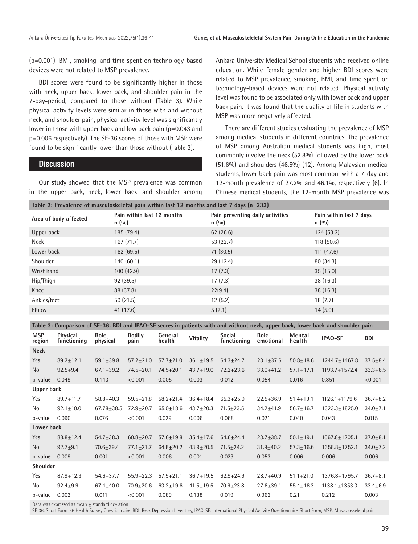(p=0.001). BMI, smoking, and time spent on technology-based devices were not related to MSP prevalence.

BDI scores were found to be significantly higher in those with neck, upper back, lower back, and shoulder pain in the 7-day-period, compared to those without (Table 3). While physical activity levels were similar in those with and without neck, and shoulder pain, physical activity level was significantly lower in those with upper back and low back pain (p=0.043 and p=0.006 respectively). The SF-36 scores of those with MSP were found to be significantly lower than those without (Table 3).

#### **Discussion**

Our study showed that the MSP prevalence was common in the upper back, neck, lower back, and shoulder among

Ankara University Medical School students who received online education. While female gender and higher BDI scores were related to MSP prevalence, smoking, BMI, and time spent on technology-based devices were not related. Physical activity level was found to be associated only with lower back and upper back pain. It was found that the quality of life in students with MSP was more negatively affected.

There are different studies evaluating the prevalence of MSP among medical students in different countries. The prevalence of MSP among Australian medical students was high, most commonly involve the neck (52.8%) followed by the lower back (51.6%) and shoulders (46.5%) (12). Among Malaysian medical students, lower back pain was most common, with a 7-day and 12-month prevalence of 27.2% and 46.1%, respectively (6). In Chinese medical students, the 12-month MSP prevalence was

| TAUIC 2. FICVAICHCC OF MUSCUIOSNCICTAL DAMI WILMIN 18SC TZ MONTHIS 8110 18SC 7 08YS (N=2JJ) |                                      |                                            |                                   |  |  |  |  |  |
|---------------------------------------------------------------------------------------------|--------------------------------------|--------------------------------------------|-----------------------------------|--|--|--|--|--|
| Area of body affected                                                                       | Pain within last 12 months<br>n(0,0) | Pain preventing daily activities<br>n(0/0) | Pain within last 7 days<br>n(0/0) |  |  |  |  |  |
| Upper back                                                                                  | 185 (79.4)                           | 62(26.6)                                   | 124(53.2)                         |  |  |  |  |  |
| Neck                                                                                        | 167(71.7)                            | 53(22.7)                                   | 118(50.6)                         |  |  |  |  |  |
| Lower back                                                                                  | 162(69.5)                            | 71(30.5)                                   | 111(47.6)                         |  |  |  |  |  |
| Shoulder                                                                                    | 140(60.1)                            | 29(12.4)                                   | 80(34.3)                          |  |  |  |  |  |
| Wrist hand                                                                                  | 100(42.9)                            | 17(7.3)                                    | 35(15.0)                          |  |  |  |  |  |
| Hip/Thigh                                                                                   | 92(39.5)                             | 17(7.3)                                    | 38(16.3)                          |  |  |  |  |  |
| Knee                                                                                        | 88 (37.8)                            | 22(9.4)                                    | 38(16.3)                          |  |  |  |  |  |
| Ankles/feet                                                                                 | 50(21.5)                             | 12(5.2)                                    | 18(7.7)                           |  |  |  |  |  |
| Elbow                                                                                       | 41(17.6)                             | 5(2.1)                                     | 14(5.0)                           |  |  |  |  |  |

**Table 3: Comparison of SF-36, BDI and IPAQ-SF scores in patients with and without neck, upper back, lower back and shoulder pain**

| <b>MSP</b><br>region | <b>Physical</b><br>functioning | Role<br>physical | <b>Bodily</b><br>pain | General<br>health | <b>Vitality</b> | <b>Social</b><br>functioning | Role<br>emotional | Mental<br>health | <b>IPAQ-SF</b>      | <b>BDI</b>     |
|----------------------|--------------------------------|------------------|-----------------------|-------------------|-----------------|------------------------------|-------------------|------------------|---------------------|----------------|
| <b>Neck</b>          |                                |                  |                       |                   |                 |                              |                   |                  |                     |                |
| Yes                  | $89.2 \pm 12.1$                | $59.1 \pm 39.8$  | $57.2 \pm 21.0$       | $57.7 \pm 21.0$   | $36.1 \pm 19.5$ | $64.3 \pm 24.7$              | $23.1 \pm 37.6$   | $50.8 + 18.6$    | 1244.7±1467.8       | $37.5 + 8.4$   |
| <b>No</b>            | $92.5 + 9.4$                   | $67.1 \pm 39.2$  | $74.5 + 20.1$         | $74.5 + 20.1$     | $43.7 + 19.0$   | $72.2 \pm 23.6$              | $33.0+41.2$       | $57.1 + 17.1$    | 1193.7+1572.4       | $33.3 + 6.5$   |
| p-value              | 0.049                          | 0.143            | < 0.001               | 0.005             | 0.003           | 0.012                        | 0.054             | 0.016            | 0.851               | < 0.001        |
| <b>Upper back</b>    |                                |                  |                       |                   |                 |                              |                   |                  |                     |                |
| Yes                  | $89.7 \pm 11.7$                | $58.8 + 40.3$    | $59.5 + 21.8$         | $58.2 + 21.4$     | $36.4 + 18.4$   | $65.3 \pm 25.0$              | $22.5 \pm 36.9$   | $51.4 \pm 19.1$  | $1126.1 + 1179.6$   | $36.7 + 8.2$   |
| No                   | $92.1 \pm 10.0$                | $67.78 + 38.5$   | $72.9 + 20.7$         | $65.0 + 18.6$     | $43.7 \pm 20.3$ | $71.5 \pm 23.5$              | $34.2 + 41.9$     | $56.7 \pm 16.7$  | 1323.3±1825.0       | $34.0 \pm 7.1$ |
| p-value              | 0.090                          | 0.076            | < 0.001               | 0.029             | 0.006           | 0.068                        | 0.021             | 0.040            | 0.043               | 0.015          |
| Lower back           |                                |                  |                       |                   |                 |                              |                   |                  |                     |                |
| Yes                  | $88.8 \pm 12.4$                | $54.7 \pm 38.3$  | $60.8 + 20.7$         | $57.6 + 19.8$     | $35.4 \pm 17.6$ | $64.6 \pm 24.4$              | $23.7 + 38.7$     | $50.1 \pm 19.1$  | $1067.8 + 1205.1$   | $37.0 + 8.1$   |
| No.                  | $92.7 + 9.1$                   | $70.6 \pm 39.4$  | $77.1 + 21.7$         | $64.8 + 20.2$     | $43.9 + 20.5$   | $71.5 \pm 24.2$              | $31.9 + 40.2$     | $57.3 \pm 16.6$  | $1358.8 + 1752.1$   | $34.0 \pm 7.2$ |
| p-value              | 0.009                          | 0.001            | < 0.001               | 0.006             | 0.001           | 0.023                        | 0.053             | 0.006            | 0.006               | 0.006          |
| <b>Shoulder</b>      |                                |                  |                       |                   |                 |                              |                   |                  |                     |                |
| Yes                  | $87.9 \pm 12.3$                | $54.6 \pm 37.7$  | $55.9 + 22.3$         | $57.9 + 21.1$     | $36.7 \pm 19.5$ | $62.9 \pm 24.9$              | $28.7 + 40.9$     | $51.1 \pm 21.0$  | 1376.8±1795.7       | $36.7 + 8.1$   |
| No                   | $92.4 + 9.9$                   | $67.4 \pm 40.0$  | $70.9 + 20.6$         | $63.2 \pm 19.6$   | $41.5 \pm 19.5$ | $70.9 + 23.8$                | $27.6 \pm 39.1$   | $55.4 \pm 16.3$  | $1138.1 \pm 1353.3$ | $33.4 \pm 6.9$ |
| p-value              | 0.002                          | 0.011            | < 0.001               | 0.089             | 0.138           | 0.019                        | 0.962             | 0.21             | 0.212               | 0.003          |
|                      |                                |                  |                       |                   |                 |                              |                   |                  |                     |                |

Data was expressed as mean + standard deviation

SF-36: Short Form-36 Health Survey Questionnaire, BDI: Beck Depression Inventory, IPAQ-SF: International Physical Activity Questionnaire-Short Form, MSP: Musculoskeletal pain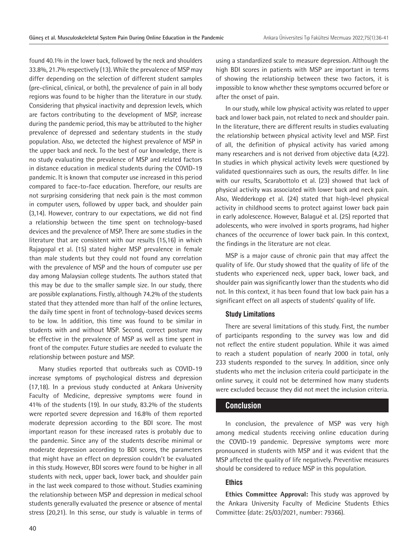found 40.1% in the lower back, followed by the neck and shoulders 33.8%, 21.7% respectively (13). While the prevalence of MSP may differ depending on the selection of different student samples (pre-clinical, clinical, or both), the prevalence of pain in all body regions was found to be higher than the literature in our study. Considering that physical inactivity and depression levels, which are factors contributing to the development of MSP, increase during the pandemic period, this may be attributed to the higher prevalence of depressed and sedentary students in the study population. Also, we detected the highest prevalence of MSP in the upper back and neck. To the best of our knowledge, there is no study evaluating the prevalence of MSP and related factors in distance education in medical students during the COVID-19 pandemic. It is known that computer use increased in this period compared to face-to-face education. Therefore, our results are not surprising considering that neck pain is the most common in computer users, followed by upper back, and shoulder pain (3,14). However, contrary to our expectations, we did not find a relationship between the time spent on technology-based devices and the prevalence of MSP. There are some studies in the literature that are consistent with our results (15,16) in which Rajagopal et al. (15) stated higher MSP prevalence in female than male students but they could not found any correlation with the prevalence of MSP and the hours of computer use per day among Malaysian college students. The authors stated that this may be due to the smaller sample size. In our study, there are possible explanations. Firstly, although 74.2% of the students stated that they attended more than half of the online lectures, the daily time spent in front of technology-based devices seems to be low. In addition, this time was found to be similar in students with and without MSP. Second, correct posture may be effective in the prevalence of MSP as well as time spent in front of the computer. Future studies are needed to evaluate the relationship between posture and MSP.

Many studies reported that outbreaks such as COVID-19 increase symptoms of psychological distress and depression (17,18). In a previous study conducted at Ankara University Faculty of Medicine, depressive symptoms were found in 41% of the students (19). In our study, 83.2% of the students were reported severe depression and 16.8% of them reported moderate depression according to the BDI score. The most important reason for these increased rates is probably due to the pandemic. Since any of the students describe minimal or moderate depression according to BDI scores, the parameters that might have an effect on depression couldn't be evaluated in this study. However, BDI scores were found to be higher in all students with neck, upper back, lower back, and shoulder pain in the last week compared to those without. Studies examining the relationship between MSP and depression in medical school students generally evaluated the presence or absence of mental stress (20,21). In this sense, our study is valuable in terms of using a standardized scale to measure depression. Although the high BDI scores in patients with MSP are important in terms of showing the relationship between these two factors, it is impossible to know whether these symptoms occurred before or after the onset of pain.

In our study, while low physical activity was related to upper back and lower back pain, not related to neck and shoulder pain. In the literature, there are different results in studies evaluating the relationship between physical activity level and MSP. First of all, the definition of physical activity has varied among many researchers and is not derived from objective data (4,22). In studies in which physical activity levels were questioned by validated questionnaires such as ours, the results differ. In line with our results, Scarabottolo et al. (23) showed that lack of physical activity was associated with lower back and neck pain. Also, Wedderkopp et al. (24) stated that high-level physical activity in childhood seems to protect against lower back pain in early adolescence. However, Balagué et al. (25) reported that adolescents, who were involved in sports programs, had higher chances of the occurrence of lower back pain. In this context, the findings in the literature are not clear.

MSP is a major cause of chronic pain that may affect the quality of life. Our study showed that the quality of life of the students who experienced neck, upper back, lower back, and shoulder pain was significantly lower than the students who did not. In this context, it has been found that low back pain has a significant effect on all aspects of students' quality of life.

#### **Study Limitations**

There are several limitations of this study. First, the number of participants responding to the survey was low and did not reflect the entire student population. While it was aimed to reach a student population of nearly 2000 in total, only 233 students responded to the survey. In addition, since only students who met the inclusion criteria could participate in the online survey, it could not be determined how many students were excluded because they did not meet the inclusion criteria.

#### **Conclusion**

In conclusion, the prevalence of MSP was very high among medical students receiving online education during the COVID-19 pandemic. Depressive symptoms were more pronounced in students with MSP and it was evident that the MSP affected the quality of life negatively. Preventive measures should be considered to reduce MSP in this population.

#### **Ethics**

**Ethics Committee Approval:** This study was approved by the Ankara University Faculty of Medicine Students Ethics Committee (date: 25/03/2021, number: 79366).